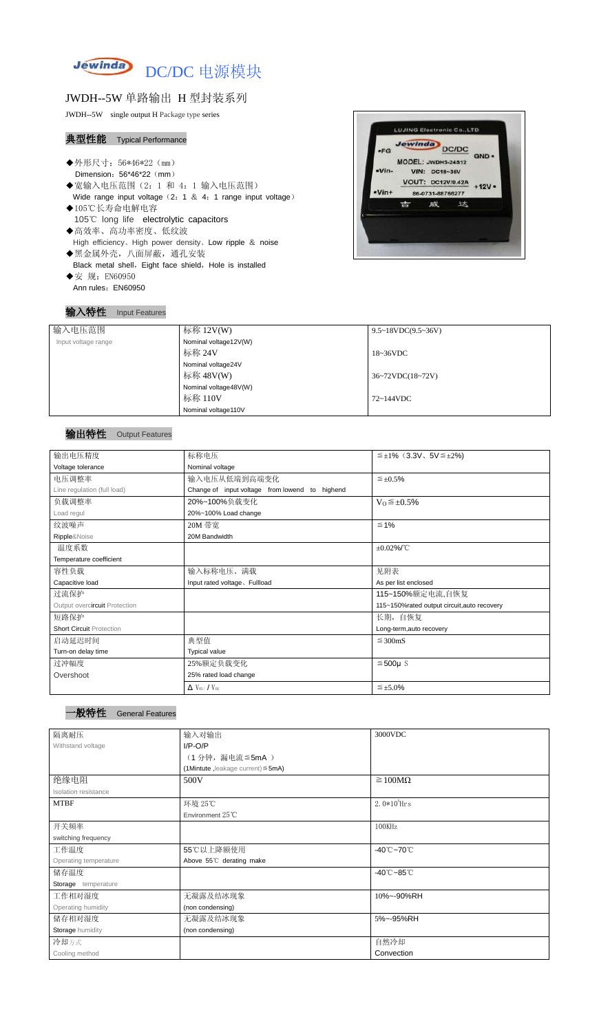

## JWDH--5W 单路输出 H 型封装系列

JWDH--5W single output H Package type series

### 典型性能 Typical Performance

- ◆外形尺寸: 56\*46\*22 (mm) Dimension: 56\*46\*22 (mm)
- ◆宽输入电压范围(2:1 和 4: 1 输入电压范围) Wide range input voltage  $(2: 1 \& 4: 1$  range input voltage)
- ◆105℃长寿命电解电容 105℃ long life electrolytic capacitors ◆高效率、高功率密度、低纹波 High efficiency、High power density、Low ripple & noise
- ◆黑金属外壳,八面屏蔽,通孔安装 Black metal shell, Eight face shield, Hole is installed ◆安 规: EN60950
- Ann rules: EN60950

#### **LUJING Electronic Co., LTD** Jewinda DC/DC  $-FG$ GND . MODEL: JWDH5-24S12 •Vin-**VIN: DC18-36V VOUT: DC12V/0.42A**  $+12V -Vin+$ 86-0731-88766277 吉 威 达

### 输入特性 Input Features

## 输出特性 Output Features

### 一般特性 General Features

| 输入电压范围              | 标称 $12V(W)$           | $9.5 \sim 18 VDC(9.5 \sim 36 V)$ |
|---------------------|-----------------------|----------------------------------|
| Input voltage range | Nominal voltage12V(W) |                                  |
|                     | 标称 24V                | $18~36\textrm{VDC}$              |
|                     | Nominal voltage24V    |                                  |
|                     | 标称 48V(W)             | $36~72\t$ VDC $(18~72\t)$        |
|                     | Nominal voltage48V(W) |                                  |
|                     | 标称 110V               | 72~144VDC                        |
|                     | Nominal voltage110V   |                                  |

| 输出电压精度                          | 标称电压                                           | $\leq \pm 1\%$ (3.3V, 5V $\leq \pm 2\%$ )   |  |  |
|---------------------------------|------------------------------------------------|---------------------------------------------|--|--|
| Voltage tolerance               | Nominal voltage                                |                                             |  |  |
| 电压调整率                           | 输入电压从低端到高端变化                                   | $\leq \pm 0.5\%$                            |  |  |
| Line regulation (full load)     | Change of input voltage from lowend to highend |                                             |  |  |
| 负载调整率                           | 20%~100%负载变化                                   | $V_0 \leq \pm 0.5\%$                        |  |  |
| Load regul                      | 20%~100% Load change                           |                                             |  |  |
| 纹波噪声                            | 20M 带宽                                         | $\leq 1\%$                                  |  |  |
| Ripple&Noise                    | 20M Bandwidth                                  |                                             |  |  |
| 温度系数                            |                                                | $\pm 0.02\%$ /°C                            |  |  |
| Temperature coefficient         |                                                |                                             |  |  |
| 容性负载                            | 输入标称电压、满载                                      | 见附表                                         |  |  |
| Capacitive load                 | Input rated voltage, Fullload                  | As per list enclosed                        |  |  |
| 过流保护                            |                                                | 115~150%额定电流,自恢复                            |  |  |
| Output overcircuit Protection   |                                                | 115~150%rated output circuit, auto recovery |  |  |
| 短路保护                            |                                                | 长期, 自恢复                                     |  |  |
| <b>Short Circuit Protection</b> |                                                | Long-term, auto recovery                    |  |  |
| 启动延迟时间                          | 典型值                                            | $\leq$ 300mS                                |  |  |
| Turn-on delay time              | <b>Typical value</b>                           |                                             |  |  |
| 过冲幅度                            | 25%额定负载变化                                      | $≤500µ$ S                                   |  |  |
| Overshoot                       | 25% rated load change                          |                                             |  |  |
|                                 | $\Delta$ V <sub>01</sub> /V <sub>01</sub>      | $\leq \pm 5.0\%$                            |  |  |

| 隔离耐压                  | 输入对输出                                   | 3000VDC                         |
|-----------------------|-----------------------------------------|---------------------------------|
| Withstand voltage     | $I/P-O/P$                               |                                 |
|                       | (1分钟,漏电流≦5mA)                           |                                 |
|                       | (1Mintute, leakage current) $\leq$ 5mA) |                                 |
| 绝缘电阻                  | 500V                                    | $\geq 100M\Omega$               |
| Isolation resistance  |                                         |                                 |
| <b>MTBF</b>           | 环境 25℃                                  | $2.0*105$ Hrs                   |
|                       | Environment 25°C                        |                                 |
| 开关频率                  |                                         | 100KHz                          |
| switching frequency   |                                         |                                 |
| 工作温度                  | 55℃以上降额使用                               | -40 $°C$ ~70 $°C$               |
| Operating temperature | Above 55°C derating make                |                                 |
| 储存温度                  |                                         | $-40^{\circ}$ C $-85^{\circ}$ C |
| Storage temperature   |                                         |                                 |
| 工作相对湿度                | 无凝露及结冰现象                                | 10%~-90%RH                      |
| Operating humidity    | (non condensing)                        |                                 |
| 储存相对湿度                | 无凝露及结冰现象<br>5%~-95%RH                   |                                 |
| Storage humidity      | (non condensing)                        |                                 |
| 冷却方式                  |                                         | 自然冷却                            |
| Cooling method        |                                         | Convection                      |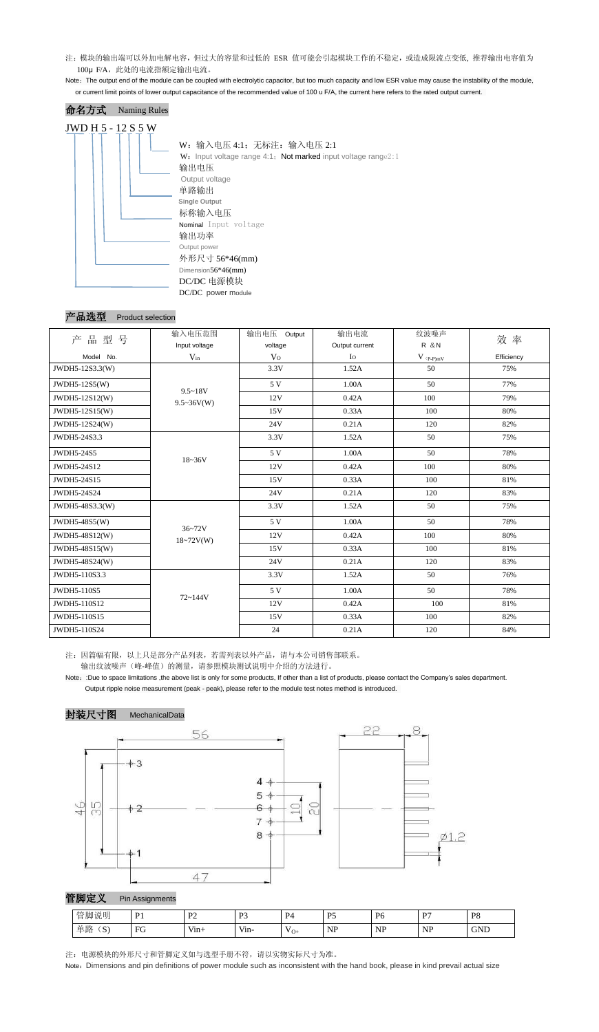注: 模块的输出端可以外加电解电容, 但过大的容量和过低的 ESR 值可能会引起模块工作的不稳定, 或造成限流点变低, 推荐输出电容值为 100μ F/A, 此处的电流指额定输出电流。

Note: The output end of the module can be coupled with electrolytic capacitor, but too much capacity and low ESR value may cause the instability of the module, or current limit points of lower output capacitance of the recommended value of 100 u F/A, the current here refers to the rated output current.

## 命名方式 Naming Rules JWD H 5 - 12 S 5 W W:输入电压 4:1;无标注:输入电压 2:1 W: Input voltage range 4:1; Not marked input voltage range2:1 输出电压 Output voltage 单路输出 **Single Output** 标称输入电压 Nominal Input voltage 输出功率 Output power 外形尺寸 56\*46(mm) Dimension56\*46(mm) DC/DC 电源模块 DC/DC power module

#### 产品选型 Product selection

- 注:因篇幅有限,以上只是部分产品列表,若需列表以外产品,请与本公司销售部联系。 输出纹波噪声(峰-峰值)的测量,请参照模块测试说明中介绍的方法进行。
- Note: :Due to space limitations ,the above list is only for some products, If other than a list of products, please contact the Company's sales department. Output ripple noise measurement (peak - peak), please refer to the module test notes method is introduced.





注:电源模块的外形尺寸和管脚定义如与选型手册不符,请以实物实际尺寸为准。

Note: Dimensions and pin definitions of power module such as inconsistent with the hand book, please in kind prevail actual size

|                    | 输入电压范围            | 输出电压 Output    | 输出电流           | 纹波噪声                                                           | 效率         |
|--------------------|-------------------|----------------|----------------|----------------------------------------------------------------|------------|
| 产品型号               | Input voltage     | voltage        | Output current | R & N                                                          |            |
| Model No.          | $V_{in}$          | V <sub>O</sub> | $I_{\rm O}$    | $V$ $\mathrm{(}p\text{-}p\mathrm{)}\underline{m}\underline{V}$ | Efficiency |
| JWDH5-12S3.3(W)    |                   | 3.3V           | 1.52A          | 50                                                             | 75%        |
| JWDH5-12S5(W)      | $9.5 - 18V$       | 5 V            | 1.00A          | 50                                                             | 77%        |
| JWDH5-12S12(W)     | $9.5 \sim 36V(W)$ | 12V            | 0.42A          | 100                                                            | 79%        |
| JWDH5-12S15(W)     |                   | 15V            | 0.33A          | 100                                                            | 80%        |
| JWDH5-12S24(W)     |                   | 24V            | 0.21A          | 120                                                            | 82%        |
| JWDH5-24S3.3       |                   | 3.3V           | 1.52A          | 50                                                             | 75%        |
| <b>JWDH5-24S5</b>  | $18 - 36V$        | 5 V            | 1.00A          | 50                                                             | 78%        |
| JWDH5-24S12        |                   | 12V            | 0.42A          | 100                                                            | 80%        |
| JWDH5-24S15        |                   | 15V            | 0.33A          | 100                                                            | 81%        |
| JWDH5-24S24        |                   | 24V            | 0.21A          | 120                                                            | 83%        |
| JWDH5-48S3.3(W)    |                   | 3.3V           | 1.52A          | 50                                                             | 75%        |
| JWDH5-48S5(W)      | $36 - 72V$        | 5 V            | 1.00A          | 50                                                             | 78%        |
| JWDH5-48S12(W)     | $18 - 72V(W)$     | 12V            | 0.42A          | 100                                                            | 80%        |
| JWDH5-48S15(W)     |                   | 15V            | 0.33A          | 100                                                            | 81%        |
| JWDH5-48S24(W)     |                   | 24V            | 0.21A          | 120                                                            | 83%        |
| JWDH5-110S3.3      |                   | 3.3V           | 1.52A          | 50                                                             | 76%        |
| <b>JWDH5-110S5</b> |                   | 5 V            | 1.00A          | 50                                                             | 78%        |
| JWDH5-110S12       | 72~144V           | 12V            | 0.42A          | 100                                                            | 81%        |
| JWDH5-110S15       |                   | 15V            | 0.33A          | 100                                                            | 82%        |
| JWDH5-110S24       |                   | 24             | 0.21A          | 120                                                            | 84%        |

| 管脚说明<br>--                     | . .<br>. .    | $\mathbf{D}^{\prime}$<br><b>TP</b> | D <sup>2</sup><br>. . J | ∽<br>$P_{\ell}$    | $\mathbf{D}$<br>$\overline{\phantom{0}}$<br>- | DG<br>J.<br>- | n <sub>z</sub>          | P <sub>8</sub> |
|--------------------------------|---------------|------------------------------------|-------------------------|--------------------|-----------------------------------------------|---------------|-------------------------|----------------|
| 24 财 ,<br>$\Omega$<br>井崎<br>N. | $\Gamma$<br>Ć | $\mathbf{r}$<br>V1n <sub>1</sub>   | Vin-                    | $'$ O <sub>1</sub> | $N\Gamma$<br>TAT                              | <b>NP</b>     | <b>ND</b><br><b>TAT</b> | <b>GND</b>     |